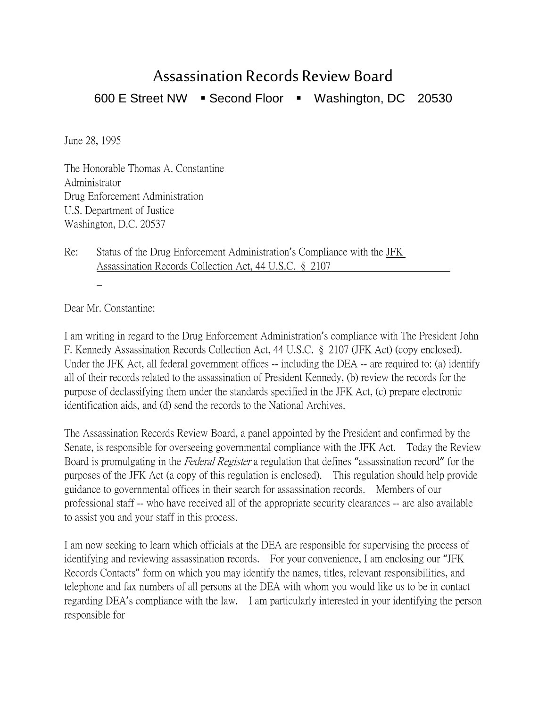## Assassination Records Review Board

600 E Street NW · Second Floor · Washington, DC 20530

June 28, 1995

The Honorable Thomas A. Constantine Administrator Drug Enforcement Administration U.S. Department of Justice Washington, D.C. 20537

Re: Status of the Drug Enforcement Administration's Compliance with the JFK Assassination Records Collection Act, 44 U.S.C. § 2107

Dear Mr. Constantine:

I am writing in regard to the Drug Enforcement Administration's compliance with The President John F. Kennedy Assassination Records Collection Act, 44 U.S.C. § 2107 (JFK Act) (copy enclosed). Under the JFK Act, all federal government offices -- including the DEA -- are required to: (a) identify all of their records related to the assassination of President Kennedy, (b) review the records for the purpose of declassifying them under the standards specified in the JFK Act, (c) prepare electronic identification aids, and (d) send the records to the National Archives.

The Assassination Records Review Board, a panel appointed by the President and confirmed by the Senate, is responsible for overseeing governmental compliance with the JFK Act. Today the Review Board is promulgating in the *Federal Register* a regulation that defines "assassination record" for the purposes of the JFK Act (a copy of this regulation is enclosed). This regulation should help provide guidance to governmental offices in their search for assassination records. Members of our professional staff -- who have received all of the appropriate security clearances -- are also available to assist you and your staff in this process.

I am now seeking to learn which officials at the DEA are responsible for supervising the process of identifying and reviewing assassination records. For your convenience, I am enclosing our "JFK Records Contacts" form on which you may identify the names, titles, relevant responsibilities, and telephone and fax numbers of all persons at the DEA with whom you would like us to be in contact regarding DEA's compliance with the law. I am particularly interested in your identifying the person responsible for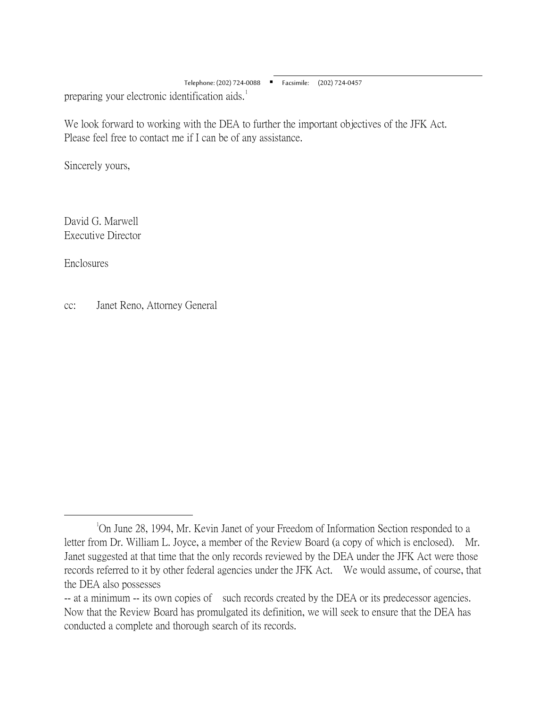Telephone: (202) 724-0088 Facsimile: (202) 724-0457 preparing your electronic identification aids.<sup>[1](#page-1-0)</sup>

We look forward to working with the DEA to further the important objectives of the JFK Act. Please feel free to contact me if I can be of any assistance.

 $\overline{a}$ 

Sincerely yours,

David G. Marwell Executive Director

Enclosures

cc: Janet Reno, Attorney General

<span id="page-1-0"></span> $\overline{\phantom{a}}$ <sup>1</sup>On June 28, 1994, Mr. Kevin Janet of your Freedom of Information Section responded to a letter from Dr. William L. Joyce, a member of the Review Board (a copy of which is enclosed). Mr. Janet suggested at that time that the only records reviewed by the DEA under the JFK Act were those records referred to it by other federal agencies under the JFK Act. We would assume, of course, that the DEA also possesses

<sup>--</sup> at a minimum -- its own copies of such records created by the DEA or its predecessor agencies. Now that the Review Board has promulgated its definition, we will seek to ensure that the DEA has conducted a complete and thorough search of its records.